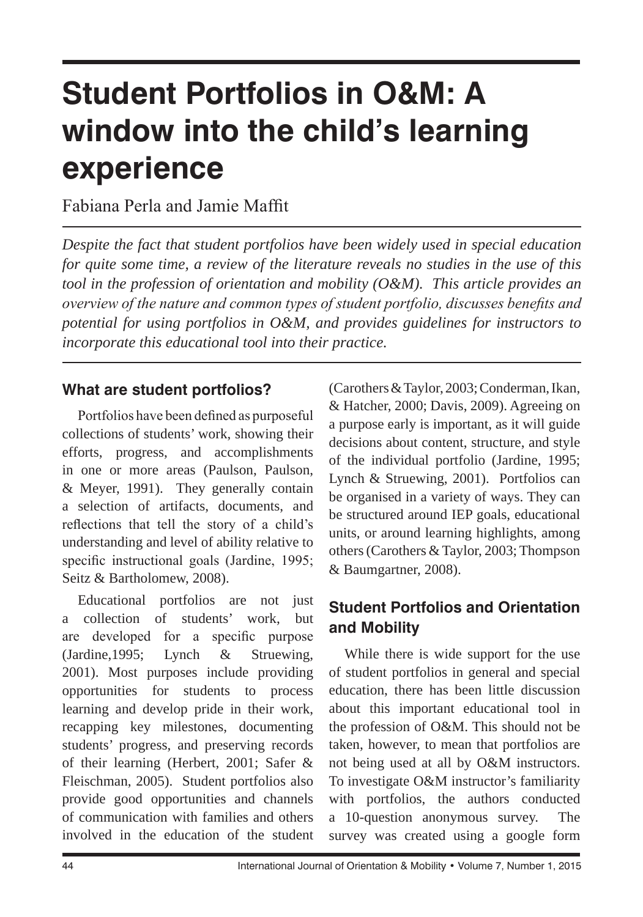# **Student Portfolios in O&M: A window into the child's learning experience**

Fabiana Perla and Jamie Maffit

*Despite the fact that student portfolios have been widely used in special education for quite some time, a review of the literature reveals no studies in the use of this tool in the profession of orientation and mobility (O&M). This article provides an overview of the nature and common types of student portfolio, discusses benefits and potential for using portfolios in O&M, and provides guidelines for instructors to incorporate this educational tool into their practice.*

### **What are student portfolios?**

Portfolios have been defined as purposeful collections of students' work, showing their efforts, progress, and accomplishments in one or more areas (Paulson, Paulson, & Meyer, 1991). They generally contain a selection of artifacts, documents, and reflections that tell the story of a child's understanding and level of ability relative to specific instructional goals (Jardine, 1995; Seitz & Bartholomew, 2008).

Educational portfolios are not just a collection of students' work, but are developed for a specific purpose (Jardine,1995; Lynch & Struewing, 2001). Most purposes include providing opportunities for students to process learning and develop pride in their work, recapping key milestones, documenting students' progress, and preserving records of their learning (Herbert, 2001; Safer & Fleischman, 2005). Student portfolios also provide good opportunities and channels of communication with families and others involved in the education of the student (Carothers & Taylor, 2003; Conderman, Ikan, & Hatcher, 2000; Davis, 2009). Agreeing on a purpose early is important, as it will guide decisions about content, structure, and style of the individual portfolio (Jardine, 1995; Lynch & Struewing, 2001). Portfolios can be organised in a variety of ways. They can be structured around IEP goals, educational units, or around learning highlights, among others (Carothers & Taylor, 2003; Thompson & Baumgartner, 2008).

# **Student Portfolios and Orientation and Mobility**

While there is wide support for the use of student portfolios in general and special education, there has been little discussion about this important educational tool in the profession of O&M. This should not be taken, however, to mean that portfolios are not being used at all by O&M instructors. To investigate O&M instructor's familiarity with portfolios, the authors conducted a 10-question anonymous survey. The survey was created using a google form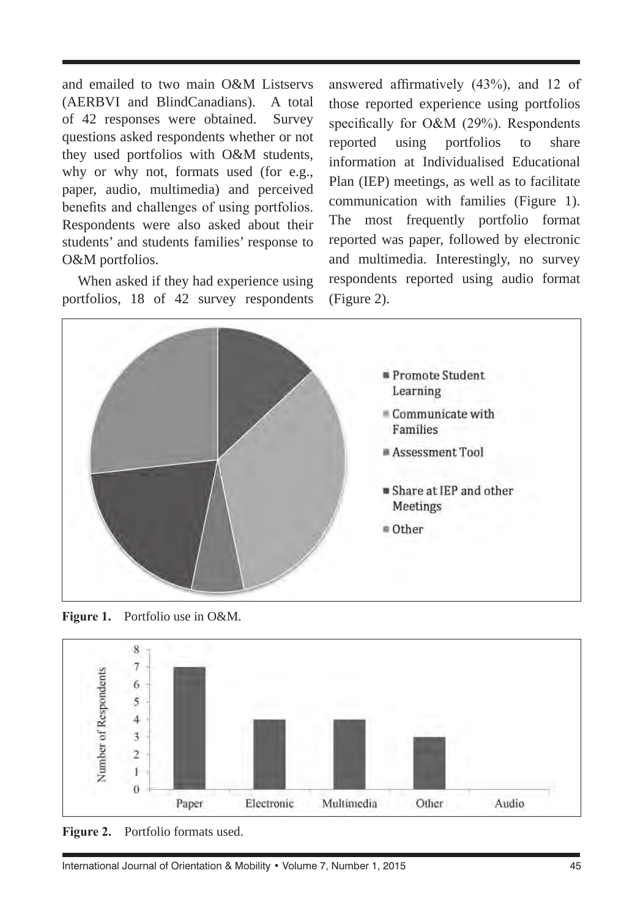and emailed to two main O&M Listservs (AERBVI and BlindCanadians). A total of 42 responses were obtained. Survey questions asked respondents whether or not they used portfolios with O&M students, why or why not, formats used (for e.g., paper, audio, multimedia) and perceived benefits and challenges of using portfolios. Respondents were also asked about their students' and students families' response to O&M portfolios.

When asked if they had experience using portfolios, 18 of 42 survey respondents answered affirmatively (43%), and 12 of those reported experience using portfolios specifically for O&M (29%). Respondents reported using portfolios to share information at Individualised Educational Plan (IEP) meetings, as well as to facilitate communication with families (Figure 1). The most frequently portfolio format reported was paper, followed by electronic and multimedia. Interestingly, no survey respondents reported using audio format (Figure 2).



**Figure 1.** Portfolio use in O&M.



**Figure 2.** Portfolio formats used.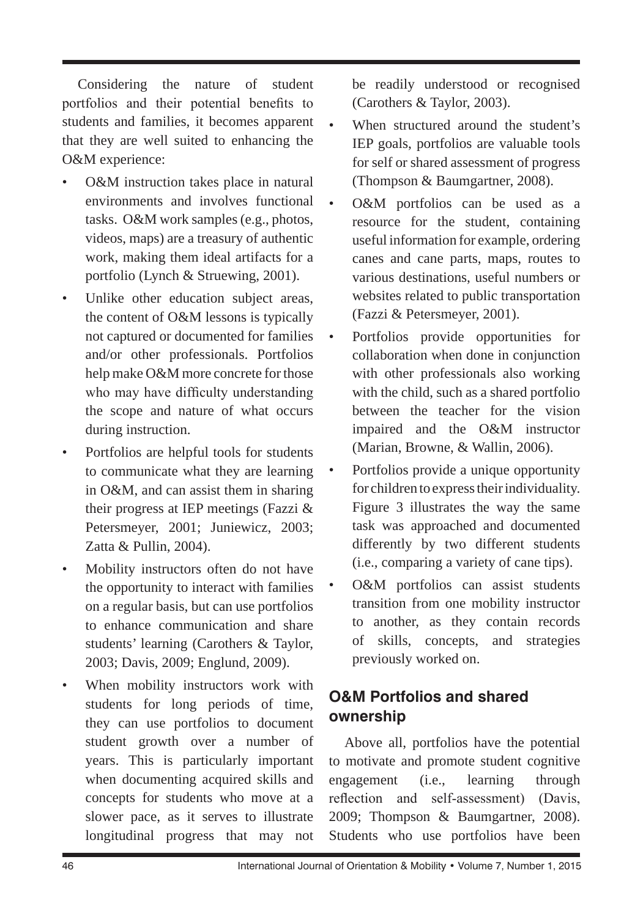Considering the nature of student portfolios and their potential benefits to students and families, it becomes apparent that they are well suited to enhancing the O&M experience:

- O&M instruction takes place in natural environments and involves functional tasks. O&M work samples (e.g., photos, videos, maps) are a treasury of authentic work, making them ideal artifacts for a portfolio (Lynch & Struewing, 2001).
- Unlike other education subject areas, the content of O&M lessons is typically not captured or documented for families and/or other professionals. Portfolios help make O&M more concrete for those who may have difficulty understanding the scope and nature of what occurs during instruction.
- Portfolios are helpful tools for students to communicate what they are learning in O&M, and can assist them in sharing their progress at IEP meetings (Fazzi & Petersmeyer, 2001; Juniewicz, 2003; Zatta & Pullin, 2004).
- Mobility instructors often do not have the opportunity to interact with families on a regular basis, but can use portfolios to enhance communication and share students' learning (Carothers & Taylor, 2003; Davis, 2009; Englund, 2009).
- When mobility instructors work with students for long periods of time, they can use portfolios to document student growth over a number of years. This is particularly important when documenting acquired skills and concepts for students who move at a slower pace, as it serves to illustrate longitudinal progress that may not

be readily understood or recognised (Carothers & Taylor, 2003).

- When structured around the student's IEP goals, portfolios are valuable tools for self or shared assessment of progress (Thompson & Baumgartner, 2008).
- O&M portfolios can be used as a resource for the student, containing useful information for example, ordering canes and cane parts, maps, routes to various destinations, useful numbers or websites related to public transportation (Fazzi & Petersmeyer, 2001).
- Portfolios provide opportunities for collaboration when done in conjunction with other professionals also working with the child, such as a shared portfolio between the teacher for the vision impaired and the O&M instructor (Marian, Browne, & Wallin, 2006).
- Portfolios provide a unique opportunity for children to express their individuality. Figure 3 illustrates the way the same task was approached and documented differently by two different students (i.e., comparing a variety of cane tips).
- O&M portfolios can assist students transition from one mobility instructor to another, as they contain records of skills, concepts, and strategies previously worked on.

# **O&M Portfolios and shared ownership**

Above all, portfolios have the potential to motivate and promote student cognitive engagement (i.e., learning through reflection and self-assessment) (Davis, 2009; Thompson & Baumgartner, 2008). Students who use portfolios have been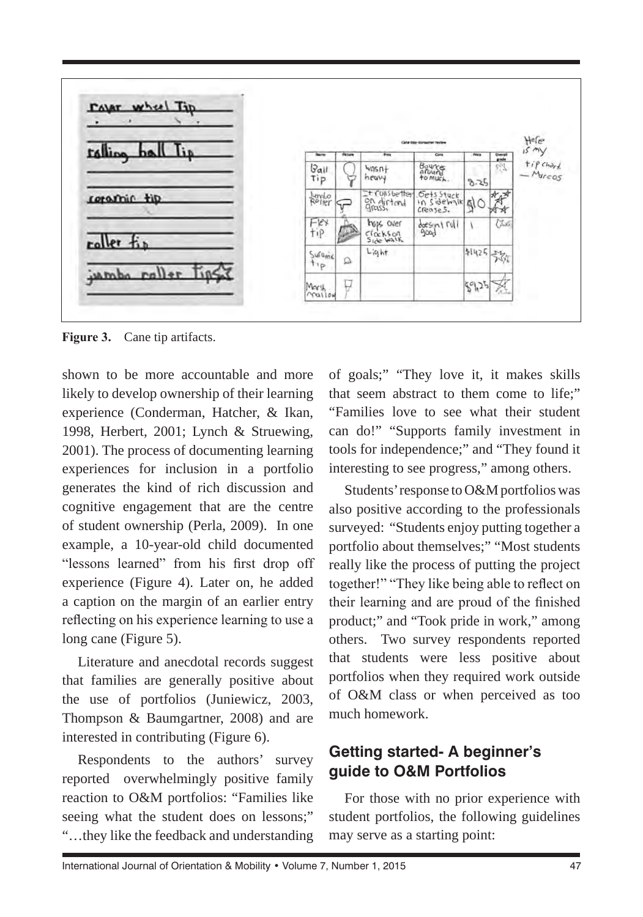

Figure 3. Cane tip artifacts.

shown to be more accountable and more likely to develop ownership of their learning experience (Conderman, Hatcher, & Ikan, 1998, Herbert, 2001; Lynch & Struewing, 2001). The process of documenting learning experiences for inclusion in a portfolio generates the kind of rich discussion and cognitive engagement that are the centre of student ownership (Perla, 2009). In one example, a 10-year-old child documented "lessons learned" from his first drop off experience (Figure 4). Later on, he added a caption on the margin of an earlier entry reflecting on his experience learning to use a long cane (Figure 5).

Literature and anecdotal records suggest that families are generally positive about the use of portfolios (Juniewicz, 2003, Thompson & Baumgartner, 2008) and are interested in contributing (Figure 6).

Respondents to the authors' survey reported overwhelmingly positive family reaction to O&M portfolios: "Families like seeing what the student does on lessons;" "…they like the feedback and understanding of goals;" "They love it, it makes skills that seem abstract to them come to life;" "Families love to see what their student can do!" "Supports family investment in tools for independence;" and "They found it interesting to see progress," among others.

Students' response to O&M portfolios was also positive according to the professionals surveyed: "Students enjoy putting together a portfolio about themselves;" "Most students really like the process of putting the project together!" "They like being able to reflect on their learning and are proud of the finished product;" and "Took pride in work," among others. Two survey respondents reported that students were less positive about portfolios when they required work outside of O&M class or when perceived as too much homework.

## **Getting started- A beginner's guide to O&M Portfolios**

For those with no prior experience with student portfolios, the following guidelines may serve as a starting point: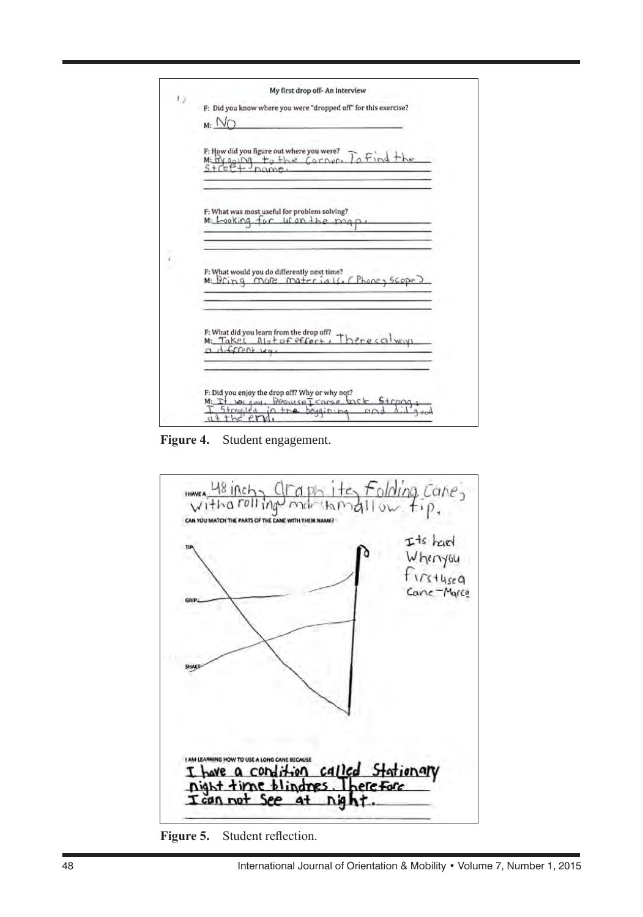

**Figure 4.** Student engagement.



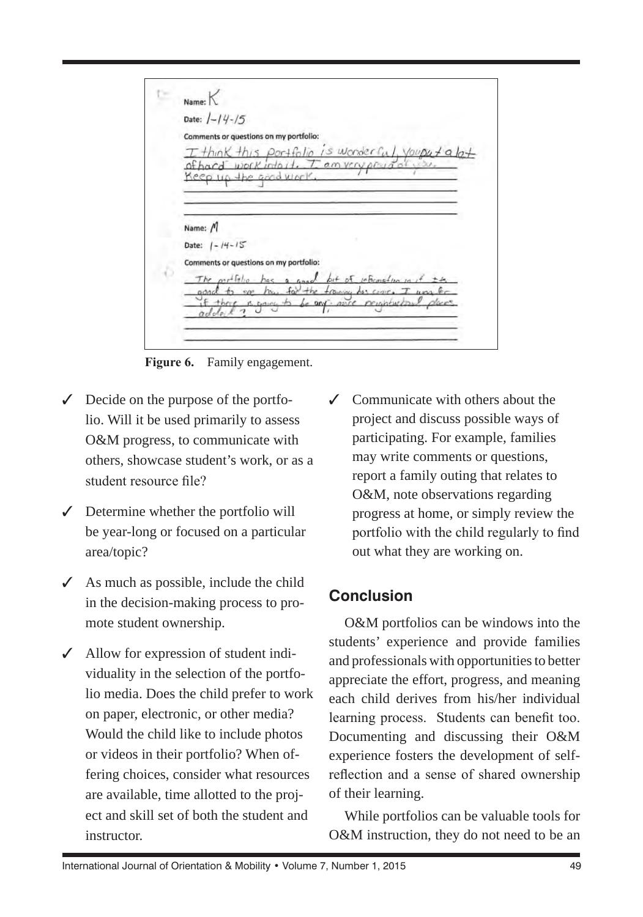|  | Name: $K$                                                                                                                                  |
|--|--------------------------------------------------------------------------------------------------------------------------------------------|
|  | Date: $1 - 14 - 15$                                                                                                                        |
|  | Comments or questions on my portfolio:                                                                                                     |
|  | I think this portfolio is wonderful, youput<br>of hard work into it. I am very provident                                                   |
|  | Keep up the good work.                                                                                                                     |
|  | Name: M                                                                                                                                    |
|  | Date: $1 - 14 - 15$                                                                                                                        |
|  | Comments or questions on my portfolio:                                                                                                     |
|  | The particle has a good but of information in<br>see how for the frances has come. I were to<br>there is going to be any more peripherican |
|  |                                                                                                                                            |

**Figure 6.** Family engagement.

- $\checkmark$  Decide on the purpose of the portfolio. Will it be used primarily to assess O&M progress, to communicate with others, showcase student's work, or as a student resource file?
- $\checkmark$  Determine whether the portfolio will be year-long or focused on a particular area/topic?
- $\angle$  As much as possible, include the child in the decision-making process to promote student ownership.
- ✓ Allow for expression of student individuality in the selection of the portfolio media. Does the child prefer to work on paper, electronic, or other media? Would the child like to include photos or videos in their portfolio? When offering choices, consider what resources are available, time allotted to the project and skill set of both the student and instructor.
- ✓ Communicate with others about the project and discuss possible ways of participating. For example, families may write comments or questions, report a family outing that relates to O&M, note observations regarding progress at home, or simply review the portfolio with the child regularly to find out what they are working on.

#### **Conclusion**

O&M portfolios can be windows into the students' experience and provide families and professionals with opportunities to better appreciate the effort, progress, and meaning each child derives from his/her individual learning process. Students can benefit too. Documenting and discussing their O&M experience fosters the development of selfreflection and a sense of shared ownership of their learning.

While portfolios can be valuable tools for O&M instruction, they do not need to be an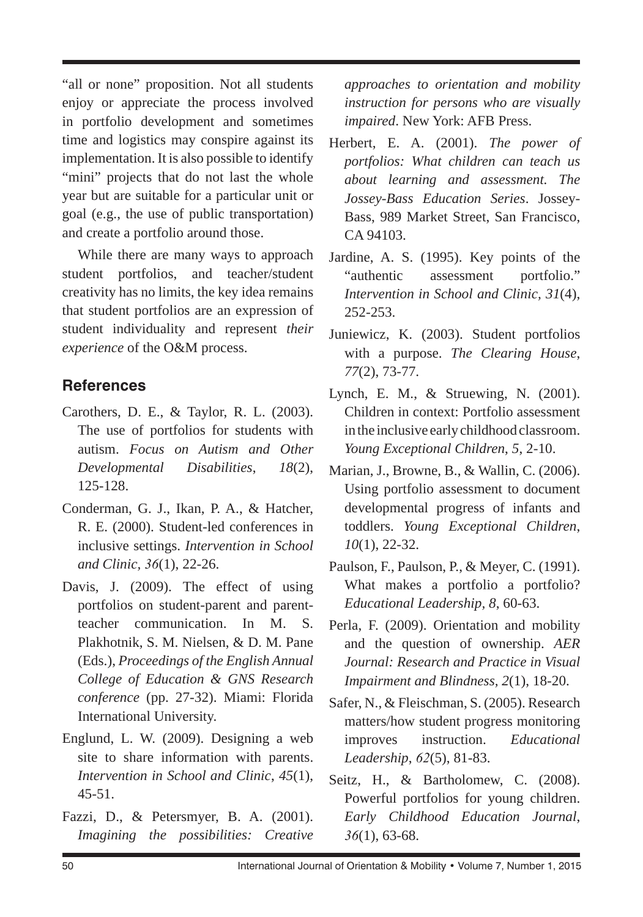"all or none" proposition. Not all students enjoy or appreciate the process involved in portfolio development and sometimes time and logistics may conspire against its implementation. It is also possible to identify "mini" projects that do not last the whole year but are suitable for a particular unit or goal (e.g., the use of public transportation) and create a portfolio around those.

While there are many ways to approach student portfolios, and teacher/student creativity has no limits, the key idea remains that student portfolios are an expression of student individuality and represent *their experience* of the O&M process.

## **References**

- Carothers, D. E., & Taylor, R. L. (2003). The use of portfolios for students with autism. *Focus on Autism and Other Developmental Disabilities*, *18*(2), 125-128.
- Conderman, G. J., Ikan, P. A., & Hatcher, R. E. (2000). Student-led conferences in inclusive settings. *Intervention in School and Clinic, 36*(1), 22-26.
- Davis, J. (2009). The effect of using portfolios on student-parent and parentteacher communication. In M. S. Plakhotnik, S. M. Nielsen, & D. M. Pane (Eds.), *Proceedings of the English Annual College of Education & GNS Research conference* (pp. 27-32). Miami: Florida International University.
- Englund, L. W. (2009). Designing a web site to share information with parents. *Intervention in School and Clinic*, *45*(1), 45-51.
- Fazzi, D., & Petersmyer, B. A. (2001). *Imagining the possibilities: Creative*

*approaches to orientation and mobility instruction for persons who are visually impaired*. New York: AFB Press.

- Herbert, E. A. (2001). *The power of portfolios: What children can teach us about learning and assessment. The Jossey-Bass Education Series*. Jossey-Bass, 989 Market Street, San Francisco, CA 94103.
- Jardine, A. S. (1995). Key points of the "authentic assessment portfolio." *Intervention in School and Clinic, 31*(4), 252-253.
- Juniewicz, K. (2003). Student portfolios with a purpose. *The Clearing House*, *77*(2), 73-77.
- Lynch, E. M., & Struewing, N. (2001). Children in context: Portfolio assessment in the inclusive early childhood classroom. *Young Exceptional Children*, *5*, 2-10.
- Marian, J., Browne, B., & Wallin, C. (2006). Using portfolio assessment to document developmental progress of infants and toddlers. *Young Exceptional Children*, *10*(1), 22-32.
- Paulson, F., Paulson, P., & Meyer, C. (1991). What makes a portfolio a portfolio? *Educational Leadership, 8*, 60-63.
- Perla, F. (2009). Orientation and mobility and the question of ownership. *AER Journal: Research and Practice in Visual Impairment and Blindness, 2*(1), 18-20.
- Safer, N., & Fleischman, S. (2005). Research matters/how student progress monitoring improves instruction. *Educational Leadership*, *62*(5), 81-83.
- Seitz, H., & Bartholomew, C. (2008). Powerful portfolios for young children. *Early Childhood Education Journal*, *36*(1), 63-68.